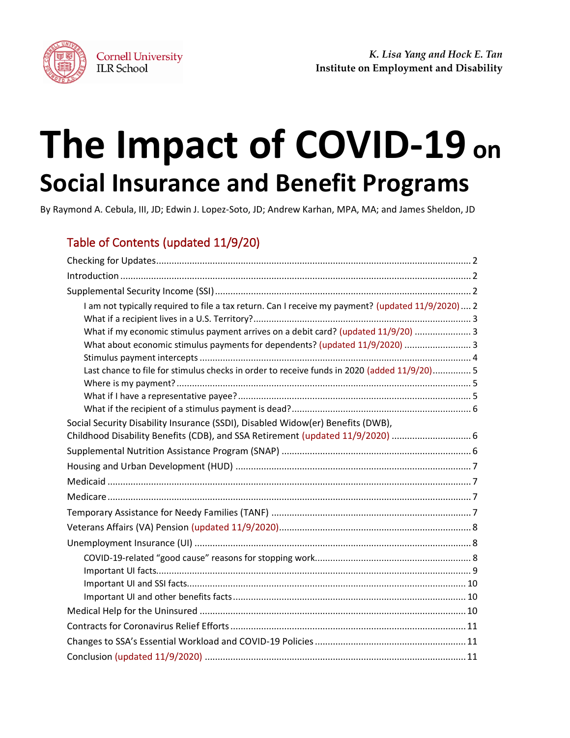

# **The Impact of COVID-19 on Social Insurance and Benefit Programs**

By Raymond A. Cebula, III, JD; Edwin J. Lopez-Soto, JD; Andrew Karhan, MPA, MA; and James Sheldon, JD

# Table of Contents (updated 11/9/20)

| I am not typically required to file a tax return. Can I receive my payment? (updated 11/9/2020) 2 |  |
|---------------------------------------------------------------------------------------------------|--|
| What if my economic stimulus payment arrives on a debit card? (updated 11/9/20)  3                |  |
| What about economic stimulus payments for dependents? (updated 11/9/2020)  3                      |  |
| Last chance to file for stimulus checks in order to receive funds in 2020 (added 11/9/20) 5       |  |
|                                                                                                   |  |
|                                                                                                   |  |
| Social Security Disability Insurance (SSDI), Disabled Widow(er) Benefits (DWB),                   |  |
| Childhood Disability Benefits (CDB), and SSA Retirement (updated 11/9/2020)  6                    |  |
|                                                                                                   |  |
|                                                                                                   |  |
|                                                                                                   |  |
|                                                                                                   |  |
|                                                                                                   |  |
|                                                                                                   |  |
|                                                                                                   |  |
|                                                                                                   |  |
|                                                                                                   |  |
|                                                                                                   |  |
|                                                                                                   |  |
|                                                                                                   |  |
|                                                                                                   |  |
|                                                                                                   |  |
|                                                                                                   |  |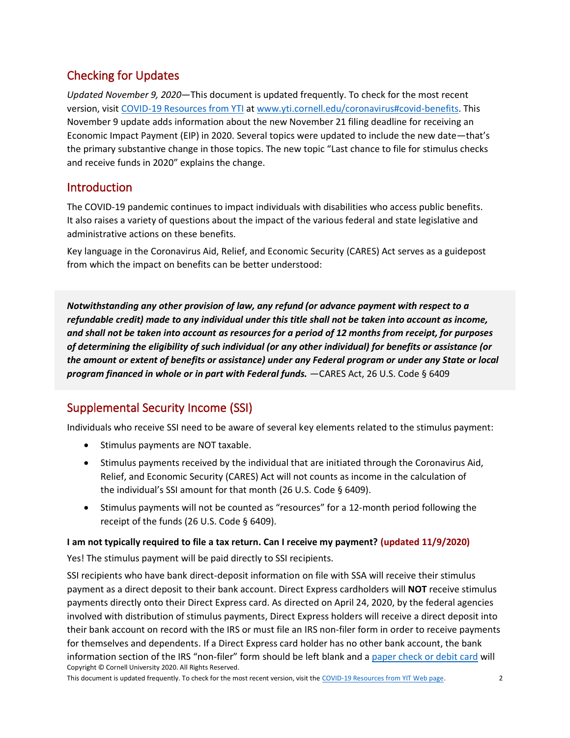## Checking for Updates

*Updated November 9, 2020*—This document is updated frequently. To check for the most recent version, visit [COVID-19 Resources from YTI](http://www.yti.cornell.edu/coronavirus#covid-benefits) at [www.yti.cornell.edu/coronavirus#covid-benefits.](https://www.yti.cornell.edu/coronavirus#covid-benefits) This November 9 update adds information about the new November 21 filing deadline for receiving an Economic Impact Payment (EIP) in 2020. Several topics were updated to include the new date—that's the primary substantive change in those topics. The new topic "Last chance to file for stimulus checks and receive funds in 2020" explains the change.

## **Introduction**

The COVID-19 pandemic continues to impact individuals with disabilities who access public benefits. It also raises a variety of questions about the impact of the various federal and state legislative and administrative actions on these benefits.

Key language in the Coronavirus Aid, Relief, and Economic Security (CARES) Act serves as a guidepost from which the impact on benefits can be better understood:

*Notwithstanding any other provision of law, any refund (or advance payment with respect to a refundable credit) made to any individual under this title shall not be taken into account as income, and shall not be taken into account as resources for a period of 12 months from receipt, for purposes of determining the eligibility of such individual (or any other individual) for benefits or assistance (or the amount or extent of benefits or assistance) under any Federal program or under any State or local program financed in whole or in part with Federal funds.* —CARES Act, 26 U.S. Code § 6409

## Supplemental Security Income (SSI)

Individuals who receive SSI need to be aware of several key elements related to the stimulus payment:

- Stimulus payments are NOT taxable.
- Stimulus payments received by the individual that are initiated through the Coronavirus Aid, Relief, and Economic Security (CARES) Act will not counts as income in the calculation of the individual's SSI amount for that month (26 U.S. Code § 6409).
- Stimulus payments will not be counted as "resources" for a 12-month period following the receipt of the funds (26 U.S. Code § 6409).

## **I am not typically required to file a tax return. Can I receive my payment? (updated 11/9/2020)**

Yes! The stimulus payment will be paid directly to SSI recipients.

Copyright © Cornell University 2020. All Rights Reserved. SSI recipients who have bank direct-deposit information on file with SSA will receive their stimulus payment as a direct deposit to their bank account. Direct Express cardholders will **NOT** receive stimulus payments directly onto their Direct Express card. As directed on April 24, 2020, by the federal agencies involved with distribution of stimulus payments, Direct Express holders will receive a direct deposit into their bank account on record with the IRS or must file an IRS non-filer form in order to receive payments for themselves and dependents. If a Direct Express card holder has no other bank account, the bank information section of the IRS "non-filer" form should be left blank and [a paper check or debit card](https://home.treasury.gov/news/press-releases/sm1012) will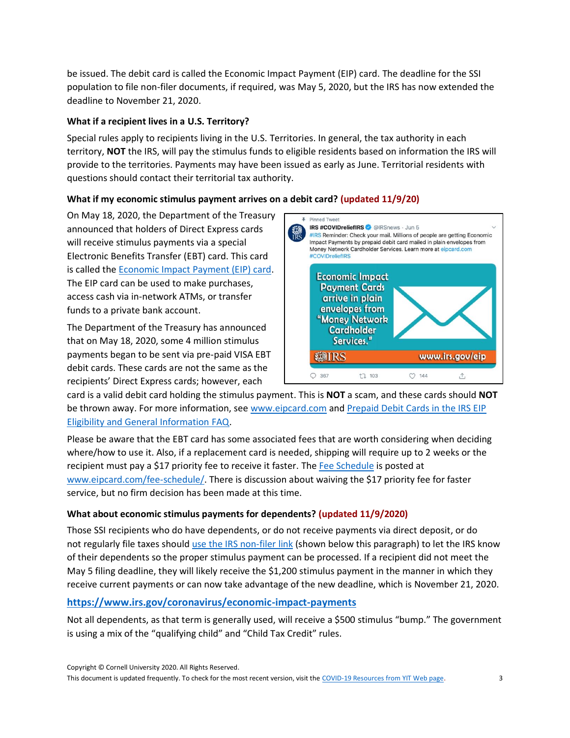be issued. The debit card is called the Economic Impact Payment (EIP) card. The deadline for the SSI population to file non-filer documents, if required, was May 5, 2020, but the IRS has now extended the deadline to November 21, 2020.

## **What if a recipient lives in a U.S. Territory?**

Special rules apply to recipients living in the U.S. Territories. In general, the tax authority in each territory, **NOT** the IRS, will pay the stimulus funds to eligible residents based on information the IRS will provide to the territories. Payments may have been issued as early as June. Territorial residents with questions should contact their territorial tax authority.

## **What if my economic stimulus payment arrives on a debit card? (updated 11/9/20)**

On May 18, 2020, the Department of the Treasury announced that holders of Direct Express cards will receive stimulus payments via a special Electronic Benefits Transfer (EBT) card. This card is called the [Economic Impact Payment \(EIP\) card.](http://www.eipcard.com/) The EIP card can be used to make purchases, access cash via in-network ATMs, or transfer funds to a private bank account.

The Department of the Treasury has announced that on May 18, 2020, some 4 million stimulus payments began to be sent via pre-paid VISA EBT debit cards. These cards are not the same as the recipients' Direct Express cards; however, each



card is a valid debit card holding the stimulus payment. This is **NOT** a scam, and these cards should **NOT** be thrown away. For more information, see [www.eipcard.com](http://www.eipcard.com/) and [Prepaid Debit Cards in](https://www.irs.gov/newsroom/economic-impact-payment-information-center-topic-e-eip-cards) the IRS EIP [Eligibility and General Information FAQ.](https://www.irs.gov/newsroom/economic-impact-payment-information-center-topic-e-eip-cards)

Please be aware that the EBT card has some associated fees that are worth considering when deciding where/how to use it. Also, if a replacement card is needed, shipping will require up to 2 weeks or the recipient must pay a \$17 priority fee to receive it faster. The [Fee Schedule](https://www.eipcard.com/fee-schedule) is posted at [www.eipcard.com/fee-schedule/.](http://www.eipcard.com/fee-schedule/) There is discussion about waiving the \$17 priority fee for faster service, but no firm decision has been made at this time.

### **What about economic stimulus payments for dependents? (updated 11/9/2020)**

Those SSI recipients who do have dependents, or do not receive payments via direct deposit, or do not regularly file taxes should [use the IRS non-filer link](https://www.irs.gov/coronavirus/economic-impact-payments) (shown below this paragraph) to let the IRS know of their dependents so the proper stimulus payment can be processed. If a recipient did not meet the May 5 filing deadline, they will likely receive the \$1,200 stimulus payment in the manner in which they receive current payments or can now take advantage of the new deadline, which is November 21, 2020.

## **<https://www.irs.gov/coronavirus/economic-impact-payments>**

Not all dependents, as that term is generally used, will receive a \$500 stimulus "bump." The government is using a mix of the "qualifying child" and "Child Tax Credit" rules.

Copyright © Cornell University 2020. All Rights Reserved.

This document is updated frequently. To check for the most recent version, visit the [COVID-19 Resources from YIT Web page.](https://www.yti.cornell.edu/coronavirus#covid-benefits) 3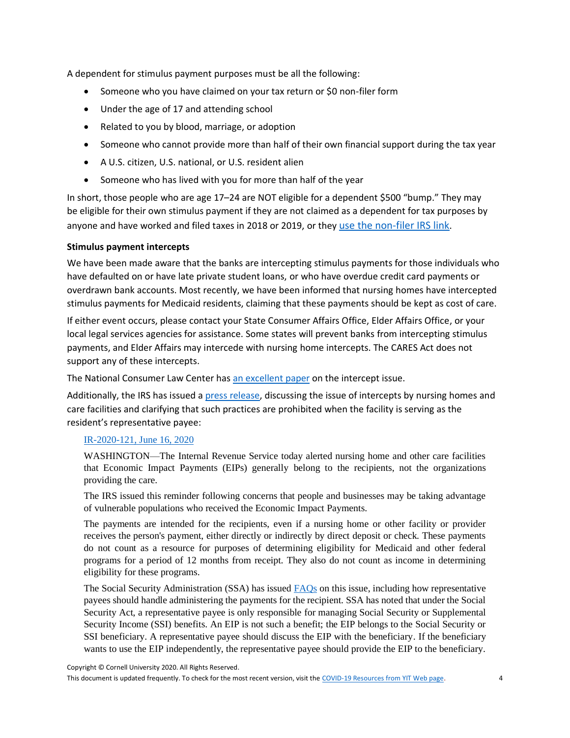A dependent for stimulus payment purposes must be all the following:

- Someone who you have claimed on your tax return or \$0 non-filer form
- Under the age of 17 and attending school
- Related to you by blood, marriage, or adoption
- Someone who cannot provide more than half of their own financial support during the tax year
- A U.S. citizen, U.S. national, or U.S. resident alien
- Someone who has lived with you for more than half of the year

In short, those people who are age 17–24 are NOT eligible for a dependent \$500 "bump." They may be eligible for their own stimulus payment if they are not claimed as a dependent for tax purposes by anyone and have worked and filed taxes in 2018 or 2019, or they [use the non-filer IRS link](https://www.irs.gov/coronavirus/economic-impact-payments).

#### **Stimulus payment intercepts**

We have been made aware that the banks are intercepting stimulus payments for those individuals who have defaulted on or have late private student loans, or who have overdue credit card payments or overdrawn bank accounts. Most recently, we have been informed that nursing homes have intercepted stimulus payments for Medicaid residents, claiming that these payments should be kept as cost of care.

If either event occurs, please contact your State Consumer Affairs Office, Elder Affairs Office, or your local legal services agencies for assistance. Some states will prevent banks from intercepting stimulus payments, and Elder Affairs may intercede with nursing home intercepts. The CARES Act does not support any of these intercepts.

The National Consumer Law Center has [an excellent paper](https://library.nclc.org/protecting-against-creditor-seizure-stimulus-checks) on the intercept issue.

Additionally, the IRS has issued [a press release,](https://www.irs.gov/newsroom/irs-alert-economic-impact-payments-belong-to-recipient-not-nursing-homes-or-care-facilities) discussing the issue of intercepts by nursing homes and care facilities and clarifying that such practices are prohibited when the facility is serving as the resident's representative payee:

#### [IR-2020-121, June 16, 2020](https://www.irs.gov/newsroom/irs-alert-economic-impact-payments-belong-to-recipient-not-nursing-homes-or-care-facilities)

WASHINGTON—The Internal Revenue Service today alerted nursing home and other care facilities that Economic Impact Payments (EIPs) generally belong to the recipients, not the organizations providing the care.

The IRS issued this reminder following concerns that people and businesses may be taking advantage of vulnerable populations who received the Economic Impact Payments.

The payments are intended for the recipients, even if a nursing home or other facility or provider receives the person's payment, either directly or indirectly by direct deposit or check. These payments do not count as a resource for purposes of determining eligibility for Medicaid and other federal programs for a period of 12 months from receipt. They also do not count as income in determining eligibility for these programs.

The Social Security Administration (SSA) has issue[d FAQs](https://www.ssa.gov/coronavirus/) on this issue, including how representative payees should handle administering the payments for the recipient. SSA has noted that under the Social Security Act, a representative payee is only responsible for managing Social Security or Supplemental Security Income (SSI) benefits. An EIP is not such a benefit; the EIP belongs to the Social Security or SSI beneficiary. A representative payee should discuss the EIP with the beneficiary. If the beneficiary wants to use the EIP independently, the representative payee should provide the EIP to the beneficiary.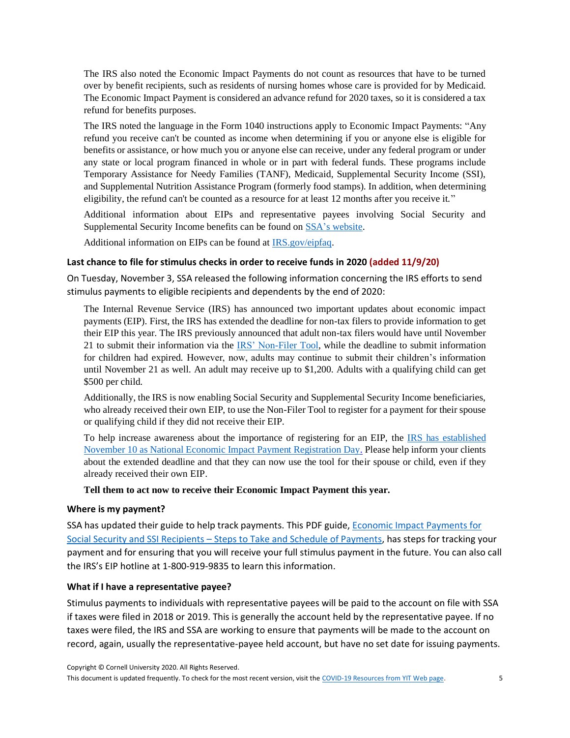The IRS also noted the Economic Impact Payments do not count as resources that have to be turned over by benefit recipients, such as residents of nursing homes whose care is provided for by Medicaid. The Economic Impact Payment is considered an advance refund for 2020 taxes, so it is considered a tax refund for benefits purposes.

The IRS noted the language in the Form 1040 instructions apply to Economic Impact Payments: "Any refund you receive can't be counted as income when determining if you or anyone else is eligible for benefits or assistance, or how much you or anyone else can receive, under any federal program or under any state or local program financed in whole or in part with federal funds. These programs include Temporary Assistance for Needy Families (TANF), Medicaid, Supplemental Security Income (SSI), and Supplemental Nutrition Assistance Program (formerly food stamps). In addition, when determining eligibility, the refund can't be counted as a resource for at least 12 months after you receive it."

Additional information about EIPs and representative payees involving Social Security and Supplemental Security Income benefits can be found on [SSA's website.](https://www.ssa.gov/coronavirus/#reppayee)

Additional information on EIPs can be found at [IRS.gov/eipfaq.](https://www.irs.gov/coronavirus/economic-impact-payment-information-center)

#### **Last chance to file for stimulus checks in order to receive funds in 2020 (added 11/9/20)**

On Tuesday, November 3, SSA released the following information concerning the IRS efforts to send stimulus payments to eligible recipients and dependents by the end of 2020:

The Internal Revenue Service (IRS) has announced two important updates about economic impact payments (EIP). First, the IRS has extended the deadline for non-tax filers to provide information to get their EIP this year. The IRS previously announced that adult non-tax filers would have until November 21 to submit their information via the [IRS' Non-Filer Tool,](https://u7061146.ct.sendgrid.net/ls/click?upn=4tNED-2FM8iDZJQyQ53jATUeugZ-2FNXL8KZLAlpEfxoclwztKMgddS31CjaDRuzKHiKjwcZ583ucUgalMJ6iWo2yVes4HbFUmzHvDCCoGz7s44-3DXTrr_-2FPLukq9otq06gaNMImGzziD6lmepzXYjBF4tNHRgcfMoq3LsNKlQMsxfpIJqFu9lrQmIEBt-2BVhoPLDcqrxtwh-2FHp0TviBu5aC7g3AlfvMVRWRG0mUswPojvsEYPbEnrQjOzIg4yweU9c08GxDt06xOWwkf6ZVAIiWcYqB3b6pOTAz-2FTiJwHwSmpC1m7s3bPxDU-2B-2BEUR-2FMULUhhF547D1x9m6mLABF6qRnOviEJwknoWoN6RMnLxdVQEptLqofgeUjLCFX6kI-2BhVR5-2FBJqlZp-2BqtRqXHFEWdKax-2ByGeXUhK3RgGUSMY4rG7cG9-2BcwYZLXUU9Bjhxd08JkyBEuRcH4zHVruWTBVISr7FEHpww-2FJXI-3D) while the deadline to submit information for children had expired. However, now, adults may continue to submit their children's information until November 21 as well. An adult may receive up to \$1,200. Adults with a qualifying child can get \$500 per child.

Additionally, the IRS is now enabling Social Security and Supplemental Security Income beneficiaries, who already received their own EIP, to use the Non-Filer Tool to register for a payment for their spouse or qualifying child if they did not receive their EIP.

To help increase awareness about the importance of registering for an EIP, the [IRS has established](https://u7061146.ct.sendgrid.net/ls/click?upn=4tNED-2FM8iDZJQyQ53jATUTpJJ4f7QDv5nEDCPTTMuwwyLY5ZN-2FaJmmrs3kCMnJfezK7zlLaumzHMia-2BvHfhkyE0CSqmgDmtZ9efuaSxeusWiI-2BFSTlp-2BdpbT9ecRo3tnQle-2FuLJ7Oo5D9XOgpbVJZB8WxVzbyYPbgHC-2BtiEsvdx5bunC-2F4nR0kBjVCPk-2Bpmhk3aEiBnXqYLz1NvqTIGRxA-3D-3DIeIW_-2FPLukq9otq06gaNMImGzziD6lmepzXYjBF4tNHRgcfMoq3LsNKlQMsxfpIJqFu9lrQmIEBt-2BVhoPLDcqrxtwh-2FHp0TviBu5aC7g3AlfvMVRWRG0mUswPojvsEYPbEnrQjOzIg4yweU9c08GxDt06xOWwkf6ZVAIiWcYqB3b6pOTAz-2FTiJwHwSmpC1m7s3bPxymLKOMo3DLgazPeejhko4bjWnbjpjZUlMqrXyxjRbQ7RXkEt1EnhWs1azYcbM4mcD9nFk0zG8ZZHBqfw0IJykCfg42zPpmFbtEuikcyyhSqEAbHtYsM-2FM9Tc16IAimT3-2BDCEdwLcttIXH34N7e2LzmiOjXW1U4O1Mtu3D2nHkJg-3D)  [November 10 as National Economic Impact Payment Registration Day.](https://u7061146.ct.sendgrid.net/ls/click?upn=4tNED-2FM8iDZJQyQ53jATUTpJJ4f7QDv5nEDCPTTMuwwyLY5ZN-2FaJmmrs3kCMnJfezK7zlLaumzHMia-2BvHfhkyE0CSqmgDmtZ9efuaSxeusWiI-2BFSTlp-2BdpbT9ecRo3tnQle-2FuLJ7Oo5D9XOgpbVJZB8WxVzbyYPbgHC-2BtiEsvdx5bunC-2F4nR0kBjVCPk-2Bpmhk3aEiBnXqYLz1NvqTIGRxA-3D-3DIeIW_-2FPLukq9otq06gaNMImGzziD6lmepzXYjBF4tNHRgcfMoq3LsNKlQMsxfpIJqFu9lrQmIEBt-2BVhoPLDcqrxtwh-2FHp0TviBu5aC7g3AlfvMVRWRG0mUswPojvsEYPbEnrQjOzIg4yweU9c08GxDt06xOWwkf6ZVAIiWcYqB3b6pOTAz-2FTiJwHwSmpC1m7s3bPxymLKOMo3DLgazPeejhko4bjWnbjpjZUlMqrXyxjRbQ7RXkEt1EnhWs1azYcbM4mcD9nFk0zG8ZZHBqfw0IJykCfg42zPpmFbtEuikcyyhSqEAbHtYsM-2FM9Tc16IAimT3-2BDCEdwLcttIXH34N7e2LzmiOjXW1U4O1Mtu3D2nHkJg-3D) Please help inform your clients about the extended deadline and that they can now use the tool for their spouse or child, even if they already received their own EIP.

#### **Tell them to act now to receive their Economic Impact Payment this year.**

#### **Where is my payment?**

SSA has updated their guide to help track payments. This PDF guide[, Economic Impact Payments for](https://www.ssa.gov/coronavirus/assets/materials/economic-impact-payments-for-social-security-and-ssi-recipients.pdf)  Social Security and SSI Recipients – [Steps to Take and Schedule of Payments,](https://www.ssa.gov/coronavirus/assets/materials/economic-impact-payments-for-social-security-and-ssi-recipients.pdf) has steps for tracking your payment and for ensuring that you will receive your full stimulus payment in the future. You can also call the IRS's EIP hotline at 1-800-919-9835 to learn this information.

#### **What if I have a representative payee?**

Stimulus payments to individuals with representative payees will be paid to the account on file with SSA if taxes were filed in 2018 or 2019. This is generally the account held by the representative payee. If no taxes were filed, the IRS and SSA are working to ensure that payments will be made to the account on record, again, usually the representative-payee held account, but have no set date for issuing payments.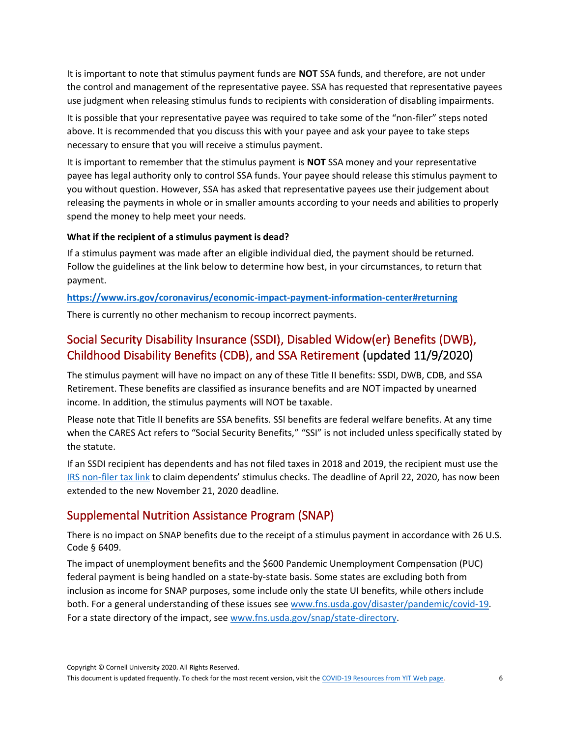It is important to note that stimulus payment funds are **NOT** SSA funds, and therefore, are not under the control and management of the representative payee. SSA has requested that representative payees use judgment when releasing stimulus funds to recipients with consideration of disabling impairments.

It is possible that your representative payee was required to take some of the "non-filer" steps noted above. It is recommended that you discuss this with your payee and ask your payee to take steps necessary to ensure that you will receive a stimulus payment.

It is important to remember that the stimulus payment is **NOT** SSA money and your representative payee has legal authority only to control SSA funds. Your payee should release this stimulus payment to you without question. However, SSA has asked that representative payees use their judgement about releasing the payments in whole or in smaller amounts according to your needs and abilities to properly spend the money to help meet your needs.

#### **What if the recipient of a stimulus payment is dead?**

If a stimulus payment was made after an eligible individual died, the payment should be returned. Follow the guidelines at the link below to determine how best, in your circumstances, to return that payment.

**<https://www.irs.gov/coronavirus/economic-impact-payment-information-center#returning>**

There is currently no other mechanism to recoup incorrect payments.

## Social Security Disability Insurance (SSDI), Disabled Widow(er) Benefits (DWB), Childhood Disability Benefits (CDB), and SSA Retirement (updated 11/9/2020)

The stimulus payment will have no impact on any of these Title II benefits: SSDI, DWB, CDB, and SSA Retirement. These benefits are classified as insurance benefits and are NOT impacted by unearned income. In addition, the stimulus payments will NOT be taxable.

Please note that Title II benefits are SSA benefits. SSI benefits are federal welfare benefits. At any time when the CARES Act refers to "Social Security Benefits," "SSI" is not included unless specifically stated by the statute.

If an SSDI recipient has dependents and has not filed taxes in 2018 and 2019, the recipient must use the [IRS non-filer tax link](https://www.irs.gov/coronavirus/economic-impact-payments) to claim dependents' stimulus checks. The deadline of April 22, 2020, has now been extended to the new November 21, 2020 deadline.

## Supplemental Nutrition Assistance Program (SNAP)

There is no impact on SNAP benefits due to the receipt of a stimulus payment in accordance with 26 U.S. Code § 6409.

The impact of unemployment benefits and the \$600 Pandemic Unemployment Compensation (PUC) federal payment is being handled on a state-by-state basis. Some states are excluding both from inclusion as income for SNAP purposes, some include only the state UI benefits, while others include both. For a general understanding of these issues see [www.fns.usda.gov/disaster/pandemic/covid-19.](https://www.fns.usda.gov/disaster/pandemic/covid-19) For a state directory of the impact, se[e www.fns.usda.gov/snap/state-directory.](https://www.fns.usda.gov/snap/state-directory)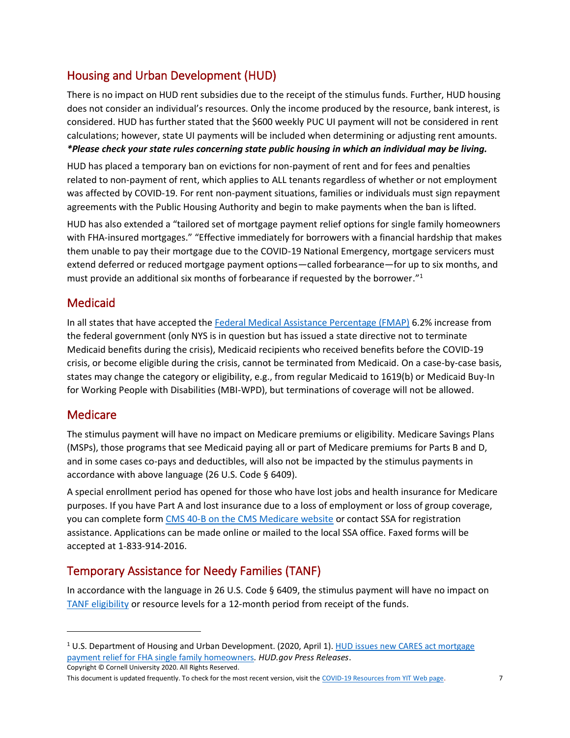# Housing and Urban Development (HUD)

There is no impact on HUD rent subsidies due to the receipt of the stimulus funds. Further, HUD housing does not consider an individual's resources. Only the income produced by the resource, bank interest, is considered. HUD has further stated that the \$600 weekly PUC UI payment will not be considered in rent calculations; however, state UI payments will be included when determining or adjusting rent amounts. *\*Please check your state rules concerning state public housing in which an individual may be living.*

HUD has placed a temporary ban on evictions for non-payment of rent and for fees and penalties related to non-payment of rent, which applies to ALL tenants regardless of whether or not employment was affected by COVID-19. For rent non-payment situations, families or individuals must sign repayment agreements with the Public Housing Authority and begin to make payments when the ban is lifted.

HUD has also extended a "tailored set of mortgage payment relief options for single family homeowners with FHA-insured mortgages." "Effective immediately for borrowers with a financial hardship that makes them unable to pay their mortgage due to the COVID-19 National Emergency, mortgage servicers must extend deferred or reduced mortgage payment options—called forbearance—for up to six months, and must provide an additional six months of forbearance if requested by the borrower." 1

## Medicaid

In all states that have accepted th[e Federal Medical Assistance Percentage \(FMAP\)](https://www.medicaid.gov/state-resource-center/downloads/covid-19-section-6008-faqs.pdf) 6.2% increase from the federal government (only NYS is in question but has issued a state directive not to terminate Medicaid benefits during the crisis), Medicaid recipients who received benefits before the COVID-19 crisis, or become eligible during the crisis, cannot be terminated from Medicaid. On a case-by-case basis, states may change the category or eligibility, e.g., from regular Medicaid to 1619(b) or Medicaid Buy-In for Working People with Disabilities (MBI-WPD), but terminations of coverage will not be allowed.

## **Medicare**

The stimulus payment will have no impact on Medicare premiums or eligibility. Medicare Savings Plans (MSPs), those programs that see Medicaid paying all or part of Medicare premiums for Parts B and D, and in some cases co-pays and deductibles, will also not be impacted by the stimulus payments in accordance with above language (26 U.S. Code § 6409).

A special enrollment period has opened for those who have lost jobs and health insurance for Medicare purposes. If you have Part A and lost insurance due to a loss of employment or loss of group coverage, you can complete form [CMS 40-B on the CMS Medicare website](https://www.cms.gov/Medicare/CMS-Forms/CMS-Forms/CMS-Forms-Items/CMS017339) or contact SSA for registration assistance. Applications can be made online or mailed to the local SSA office. Faxed forms will be accepted at 1-833-914-2016.

## Temporary Assistance for Needy Families (TANF)

In accordance with the language in 26 U.S. Code § 6409, the stimulus payment will have no impact on [TANF eligibility](https://www.benefits.gov/benefit/613) or resource levels for a 12-month period from receipt of the funds.

Copyright © Cornell University 2020. All Rights Reserved. <sup>1</sup> U.S. Department of Housing and Urban Development. (2020, April 1). HUD issues new CARES act mortgage [payment relief for FHA single family homeowners](https://www.hud.gov/press/press_releases_media_advisories/HUD_No_20_048)*. HUD.gov Press Releases*.

This document is updated frequently. To check for the most recent version, visit the [COVID-19 Resources from YIT Web page.](https://www.yti.cornell.edu/coronavirus#covid-benefits) 7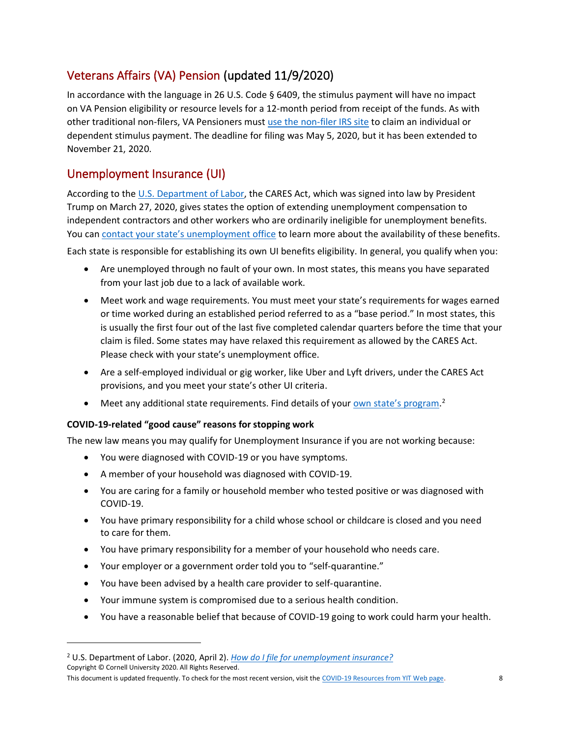# Veterans Affairs (VA) Pension (updated 11/9/2020)

In accordance with the language in 26 U.S. Code § 6409, the stimulus payment will have no impact on VA Pension eligibility or resource levels for a 12-month period from receipt of the funds. As with other traditional non-filers, VA Pensioners must [use the non-filer IRS](https://www.irs.gov/coronavirus/economic-impact-payments) site to claim an individual or dependent stimulus payment. The deadline for filing was May 5, 2020, but it has been extended to November 21, 2020.

## Unemployment Insurance (UI)

According to the U.S. [Department of Labor,](https://www.dol.gov/coronavirus/unemployment-insurance) the CARES Act, which was signed into law by President Trump on March 27, 2020, gives states the option of extending unemployment compensation to independent contractors and other workers who are ordinarily ineligible for unemployment benefits. You can [contact your state's unemployment office](https://www.dol.gov/coronavirus/unemployment-insurance#find-state-unemployment-insurance-contacts) to learn more about the availability of these benefits.

Each state is responsible for establishing its own UI benefits eligibility. In general, you qualify when you:

- Are unemployed through no fault of your own. In most states, this means you have separated from your last job due to a lack of available work.
- Meet work and wage requirements. You must meet your state's requirements for wages earned or time worked during an established period referred to as a "base period." In most states, this is usually the first four out of the last five completed calendar quarters before the time that your claim is filed. Some states may have relaxed this requirement as allowed by the CARES Act. Please check with your state's unemployment office.
- Are a self-employed individual or gig worker, like Uber and Lyft drivers, under the CARES Act provisions, and you meet your state's other UI criteria.
- Meet any additional state requirements. Find details of your **[own state's program](https://www.careeronestop.org/LocalHelp/UnemploymentBenefits/find-unemployment-benefits.aspx).**<sup>2</sup>

### **COVID-19-related "good cause" reasons for stopping work**

The new law means you may qualify for Unemployment Insurance if you are not working because:

- You were diagnosed with COVID-19 or you have symptoms.
- A member of your household was diagnosed with COVID-19.
- You are caring for a family or household member who tested positive or was diagnosed with COVID-19.
- You have primary responsibility for a child whose school or childcare is closed and you need to care for them.
- You have primary responsibility for a member of your household who needs care.
- Your employer or a government order told you to "self-quarantine."
- You have been advised by a health care provider to self-quarantine.
- Your immune system is compromised due to a serious health condition.
- You have a reasonable belief that because of COVID-19 going to work could harm your health.

Copyright © Cornell University 2020. All Rights Reserved.

<sup>2</sup> U.S. Department of Labor. (2020, April 2). *[How do I file for unemployment insurance?](https://www.dol.gov/general/topic/unemployment-insurance)*

This document is updated frequently. To check for the most recent version, visit the [COVID-19 Resources from YIT Web page.](https://www.yti.cornell.edu/coronavirus#covid-benefits) 8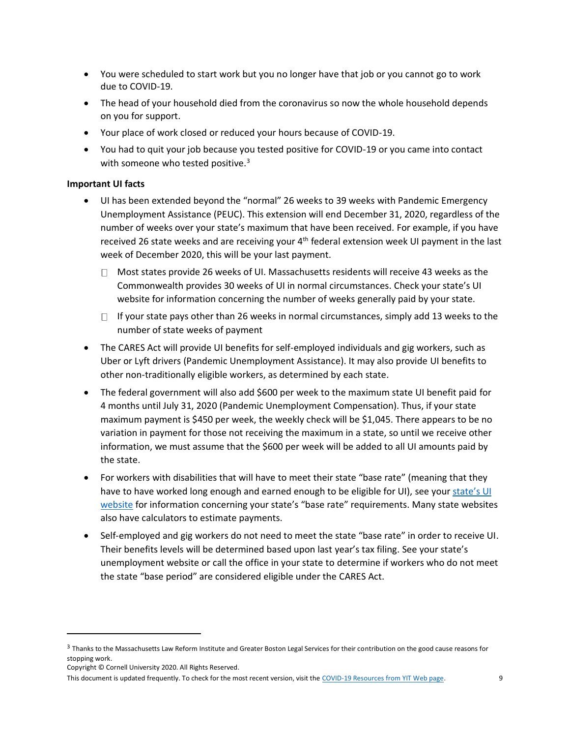- You were scheduled to start work but you no longer have that job or you cannot go to work due to COVID-19.
- The head of your household died from the coronavirus so now the whole household depends on you for support.
- Your place of work closed or reduced your hours because of COVID-19.
- You had to quit your job because you tested positive for COVID-19 or you came into contact with someone who tested positive.<sup>3</sup>

#### **Important UI facts**

- UI has been extended beyond the "normal" 26 weeks to 39 weeks with Pandemic Emergency Unemployment Assistance (PEUC). This extension will end December 31, 2020, regardless of the number of weeks over your state's maximum that have been received. For example, if you have received 26 state weeks and are receiving your 4<sup>th</sup> federal extension week UI payment in the last week of December 2020, this will be your last payment.
	- $\Box$  Most states provide 26 weeks of UI. Massachusetts residents will receive 43 weeks as the Commonwealth provides 30 weeks of UI in normal circumstances. Check your state's UI website for information concerning the number of weeks generally paid by your state.
	- $\Box$  If your state pays other than 26 weeks in normal circumstances, simply add 13 weeks to the number of state weeks of payment
- The CARES Act will provide UI benefits for self-employed individuals and gig workers, such as Uber or Lyft drivers (Pandemic Unemployment Assistance). It may also provide UI benefits to other non-traditionally eligible workers, as determined by each state.
- The federal government will also add \$600 per week to the maximum state UI benefit paid for 4 months until July 31, 2020 (Pandemic Unemployment Compensation). Thus, if your state maximum payment is \$450 per week, the weekly check will be \$1,045. There appears to be no variation in payment for those not receiving the maximum in a state, so until we receive other information, we must assume that the \$600 per week will be added to all UI amounts paid by the state.
- For workers with disabilities that will have to meet their state "base rate" (meaning that they have to have worked long enough and earned enough to be eligible for UI), see your [state's UI](https://www.careeronestop.org/LocalHelp/UnemploymentBenefits/find-unemployment-benefits.aspx)  [website](https://www.careeronestop.org/LocalHelp/UnemploymentBenefits/find-unemployment-benefits.aspx) for information concerning your state's "base rate" requirements. Many state websites also have calculators to estimate payments.
- Self-employed and gig workers do not need to meet the state "base rate" in order to receive UI. Their benefits levels will be determined based upon last year's tax filing. See your state's unemployment website or call the office in your state to determine if workers who do not meet the state "base period" are considered eligible under the CARES Act.

 $^3$  Thanks to the Massachusetts Law Reform Institute and Greater Boston Legal Services for their contribution on the good cause reasons for stopping work.

Copyright © Cornell University 2020. All Rights Reserved.

This document is updated frequently. To check for the most recent version, visit the [COVID-19 Resources from YIT Web page.](https://www.yti.cornell.edu/coronavirus#covid-benefits) 9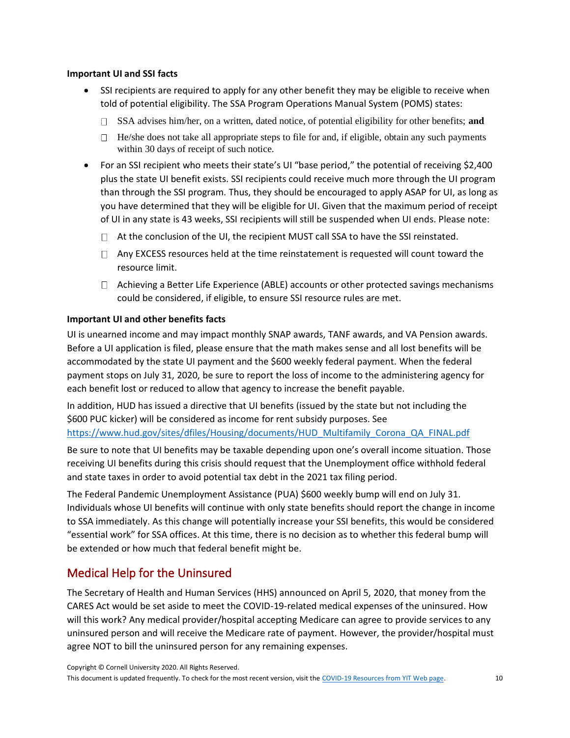#### **Important UI and SSI facts**

- SSI recipients are required to apply for any other benefit they may be eligible to receive when told of potential eligibility. The SSA Program Operations Manual System (POMS) states:
	- SSA advises him/her, on a written, dated notice, of potential eligibility for other benefits; **and**
	- $\Box$  He/she does not take all appropriate steps to file for and, if eligible, obtain any such payments within 30 days of receipt of such notice.
- For an SSI recipient who meets their state's UI "base period," the potential of receiving \$2,400 plus the state UI benefit exists. SSI recipients could receive much more through the UI program than through the SSI program. Thus, they should be encouraged to apply ASAP for UI, as long as you have determined that they will be eligible for UI. Given that the maximum period of receipt of UI in any state is 43 weeks, SSI recipients will still be suspended when UI ends. Please note:
	- $\Box$  At the conclusion of the UI, the recipient MUST call SSA to have the SSI reinstated.
	- $\Box$  Any EXCESS resources held at the time reinstatement is requested will count toward the resource limit.
	- $\Box$  Achieving a Better Life Experience (ABLE) accounts or other protected savings mechanisms could be considered, if eligible, to ensure SSI resource rules are met.

#### **Important UI and other benefits facts**

UI is unearned income and may impact monthly SNAP awards, TANF awards, and VA Pension awards. Before a UI application is filed, please ensure that the math makes sense and all lost benefits will be accommodated by the state UI payment and the \$600 weekly federal payment. When the federal payment stops on July 31, 2020, be sure to report the loss of income to the administering agency for each benefit lost or reduced to allow that agency to increase the benefit payable.

In addition, HUD has issued a directive that UI benefits (issued by the state but not including the \$600 PUC kicker) will be considered as income for rent subsidy purposes. See [https://www.hud.gov/sites/dfiles/Housing/documents/HUD\\_Multifamily\\_Corona\\_QA\\_FINAL.pdf](https://www.hud.gov/sites/dfiles/Housing/documents/HUD_Multifamily_Corona_QA_FINAL.pdf)

Be sure to note that UI benefits may be taxable depending upon one's overall income situation. Those receiving UI benefits during this crisis should request that the Unemployment office withhold federal and state taxes in order to avoid potential tax debt in the 2021 tax filing period.

The Federal Pandemic Unemployment Assistance (PUA) \$600 weekly bump will end on July 31. Individuals whose UI benefits will continue with only state benefits should report the change in income to SSA immediately. As this change will potentially increase your SSI benefits, this would be considered "essential work" for SSA offices. At this time, there is no decision as to whether this federal bump will be extended or how much that federal benefit might be.

## Medical Help for the Uninsured

The Secretary of Health and Human Services (HHS) announced on April 5, 2020, that money from the CARES Act would be set aside to meet the COVID-19-related medical expenses of the uninsured. How will this work? Any medical provider/hospital accepting Medicare can agree to provide services to any uninsured person and will receive the Medicare rate of payment. However, the provider/hospital must agree NOT to bill the uninsured person for any remaining expenses.

Copyright © Cornell University 2020. All Rights Reserved.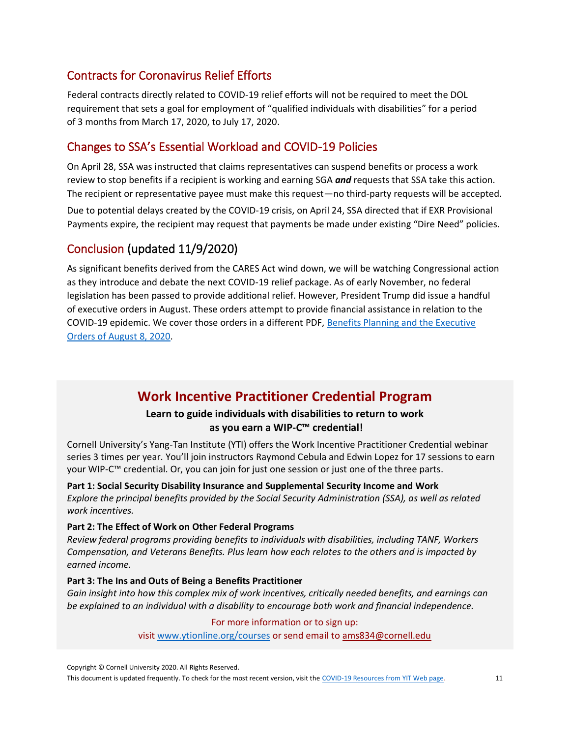## Contracts for Coronavirus Relief Efforts

Federal contracts directly related to COVID-19 relief efforts will not be required to meet the DOL requirement that sets a goal for employment of "qualified individuals with disabilities" for a period of 3 months from March 17, 2020, to July 17, 2020.

## Changes to SSA's Essential Workload and COVID-19 Policies

On April 28, SSA was instructed that claims representatives can suspend benefits or process a work review to stop benefits if a recipient is working and earning SGA *and* requests that SSA take this action. The recipient or representative payee must make this request—no third-party requests will be accepted.

Due to potential delays created by the COVID-19 crisis, on April 24, SSA directed that if EXR Provisional Payments expire, the recipient may request that payments be made under existing "Dire Need" policies.

## Conclusion (updated 11/9/2020)

As significant benefits derived from the CARES Act wind down, we will be watching Congressional action as they introduce and debate the next COVID-19 relief package. As of early November, no federal legislation has been passed to provide additional relief. However, President Trump did issue a handful of executive orders in August. These orders attempt to provide financial assistance in relation to the COVID-19 epidemic. We cover those orders in a different PDF, [Benefits Planning and the Executive](https://yti.cornell.edu/documents/executive-orders-of-aug8.pdf)  [Orders of August 8, 2020.](https://yti.cornell.edu/documents/executive-orders-of-aug8.pdf)

# **Work Incentive Practitioner Credential Program**

## **Learn to guide individuals with disabilities to return to work as you earn a WIP-C™ credential!**

Cornell University's Yang-Tan Institute (YTI) offers the Work Incentive Practitioner Credential webinar series 3 times per year. You'll join instructors Raymond Cebula and Edwin Lopez for 17 sessions to earn your WIP-C™ credential. Or, you can join for just one session or just one of the three parts.

**Part 1: Social Security Disability Insurance and Supplemental Security Income and Work** *Explore the principal benefits provided by the Social Security Administration (SSA), as well as related work incentives.*

### **Part 2: The Effect of Work on Other Federal Programs**

*Review federal programs providing benefits to individuals with disabilities, including TANF, Workers Compensation, and Veterans Benefits. Plus learn how each relates to the others and is impacted by earned income.*

#### **Part 3: The Ins and Outs of Being a Benefits Practitioner**

*Gain insight into how this complex mix of work incentives, critically needed benefits, and earnings can be explained to an individual with a disability to encourage both work and financial independence.* 

#### For more information or to sign up:

visit [www.ytionline.org/courses](http://www.ytionline.org/courses) or send email to [ams834@cornell.edu](http://ams834@cornell.edu/)

Copyright © Cornell University 2020. All Rights Reserved.